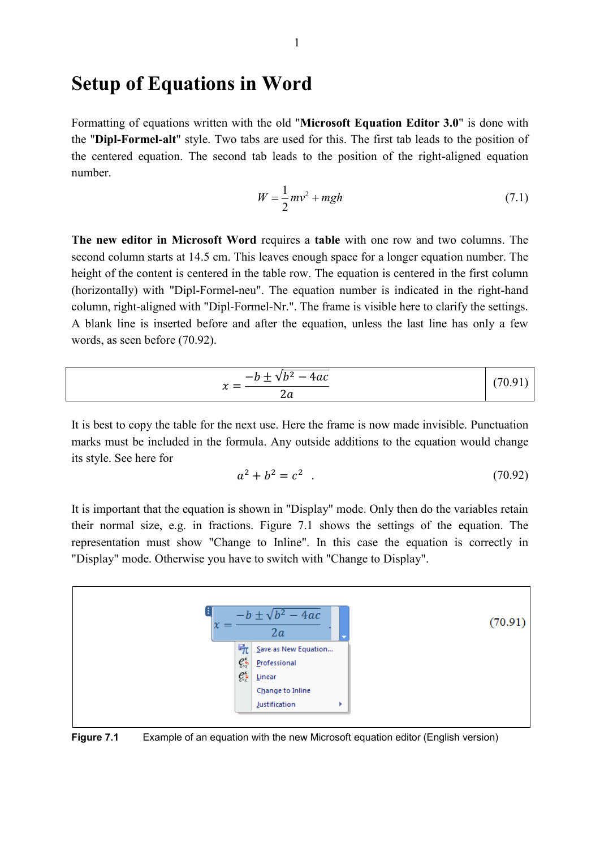## **Setup of Equations in Word**

Formatting of equations written with the old "**Microsoft Equation Editor 3.0**" is done with the "**Dipl-Formel-alt**" style. Two tabs are used for this. The first tab leads to the position of the centered equation. The second tab leads to the position of the right-aligned equation number.

$$
W = \frac{1}{2}mv^2 + mgh\tag{7.1}
$$

**The new editor in Microsoft Word** requires a **table** with one row and two columns. The second column starts at 14.5 cm. This leaves enough space for a longer equation number. The height of the content is centered in the table row. The equation is centered in the first column (horizontally) with "Dipl-Formel-neu". The equation number is indicated in the right-hand column, right-aligned with "Dipl-Formel-Nr.". The frame is visible here to clarify the settings. A blank line is inserted before and after the equation, unless the last line has only a few words, as seen before (70.92).

$$
x = \frac{-b \pm \sqrt{b^2 - 4ac}}{2a}
$$
 (70.91)

It is best to copy the table for the next use. Here the frame is now made invisible. Punctuation marks must be included in the formula. Any outside additions to the equation would change its style. See here for

$$
a^2 + b^2 = c^2 \tag{70.92}
$$

It is important that the equation is shown in "Display" mode. Only then do the variables retain their normal size, e.g. in fractions. Figure 7.1 shows the settings of the equation. The representation must show "Change to Inline". In this case the equation is correctly in "Display" mode. Otherwise you have to switch with "Change to Display".



**Figure 7.1** Example of an equation with the new Microsoft equation editor (English version)